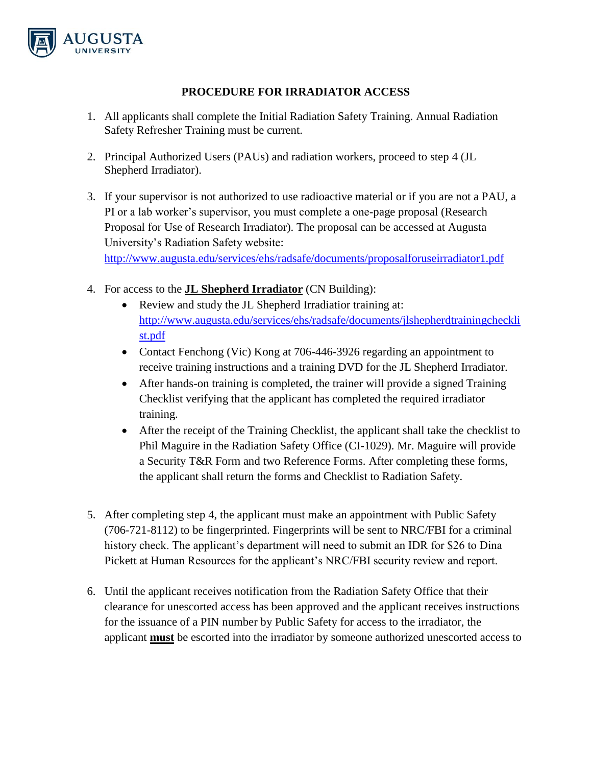

## **PROCEDURE FOR IRRADIATOR ACCESS**

- 1. All applicants shall complete the Initial Radiation Safety Training. Annual Radiation Safety Refresher Training must be current.
- 2. Principal Authorized Users (PAUs) and radiation workers, proceed to step 4 (JL Shepherd Irradiator).
- 3. If your supervisor is not authorized to use radioactive material or if you are not a PAU, a PI or a lab worker's supervisor, you must complete a one-page proposal (Research Proposal for Use of Research Irradiator). The proposal can be accessed at Augusta University's Radiation Safety website:

<http://www.augusta.edu/services/ehs/radsafe/documents/proposalforuseirradiator1.pdf>

- 4. For access to the **JL Shepherd Irradiator** (CN Building):
	- Review and study the JL Shepherd Irradiatior training at: [http://www.augusta.edu/services/ehs/radsafe/documents/jlshepherdtrainingcheckli](http://www.augusta.edu/services/ehs/radsafe/documents/jlshepherdtrainingchecklist.pdf) [st.pdf](http://www.augusta.edu/services/ehs/radsafe/documents/jlshepherdtrainingchecklist.pdf)
	- Contact Fenchong (Vic) Kong at 706-446-3926 regarding an appointment to receive training instructions and a training DVD for the JL Shepherd Irradiator.
	- After hands-on training is completed, the trainer will provide a signed Training Checklist verifying that the applicant has completed the required irradiator training.
	- After the receipt of the Training Checklist, the applicant shall take the checklist to Phil Maguire in the Radiation Safety Office (CI-1029). Mr. Maguire will provide a Security T&R Form and two Reference Forms. After completing these forms, the applicant shall return the forms and Checklist to Radiation Safety.
- 5. After completing step 4, the applicant must make an appointment with Public Safety (706-721-8112) to be fingerprinted. Fingerprints will be sent to NRC/FBI for a criminal history check. The applicant's department will need to submit an IDR for \$26 to Dina Pickett at Human Resources for the applicant's NRC/FBI security review and report.
- 6. Until the applicant receives notification from the Radiation Safety Office that their clearance for unescorted access has been approved and the applicant receives instructions for the issuance of a PIN number by Public Safety for access to the irradiator, the applicant **must** be escorted into the irradiator by someone authorized unescorted access to